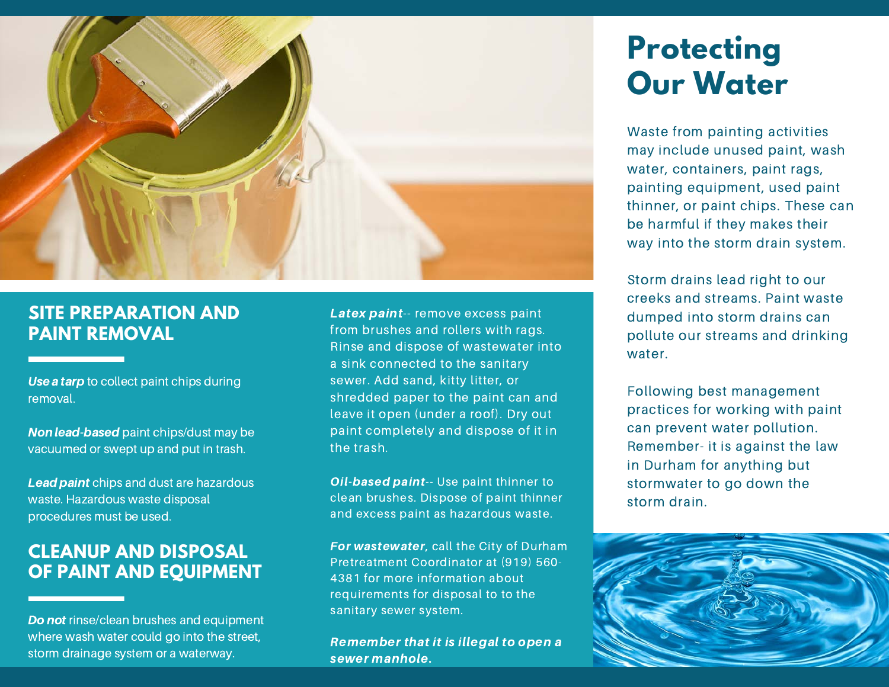

### **SITE PREPARATION AND PAINT REMOVAL**

#### Use a tarp to collect paint chips during removal.

Non lead-based paint chips/dust may be vacuumed or swept up and put in trash.

Lead paint chips and dust are hazardous waste. Hazardous waste disposal procedures must be used.

### **CLEANUP AND DISPOSAL OF PAINT AND EQUIPMENT**

Do not rinse/clean brushes and equipment where wash water could go into the street, storm drainage system or a waterway.

Latex paint-- remove excess paint from brushes and rollers with rags. Rinse and dispose of wastewater into a sink connected to the sanitary sewer. Add sand, kitty litter, or shredded paper to the paint can and leave it open (under a roof). Dry out paint completely and dispose of it in the trash.

Oil-based paint-- Use paint thinner to clean brushes. Dispose of paint thinner and excess paint as hazardous waste.

For wastewater, call the City of Durham Pretreatment Coordinator at (919) 560- 4381 for more information about requirements for disposal to to the sanitary sewer system.

Remember that it is illegal to open a sewer manhole.

## **Protecting Our Water**

Waste from painting activities may include unused paint, wash water, containers, paint rags, painting equipment, used paint thinner, or paint chips. These can be harmful if they makes their way into the storm drain system.

Storm drains lead right to our creeks and streams. Paint waste dumped into storm drains can pollute our streams and drinking water.

Following best management practices for working with paint can prevent water pollution. Remember- it is against the law in Durham for anything but stormwater to go down the storm drain.